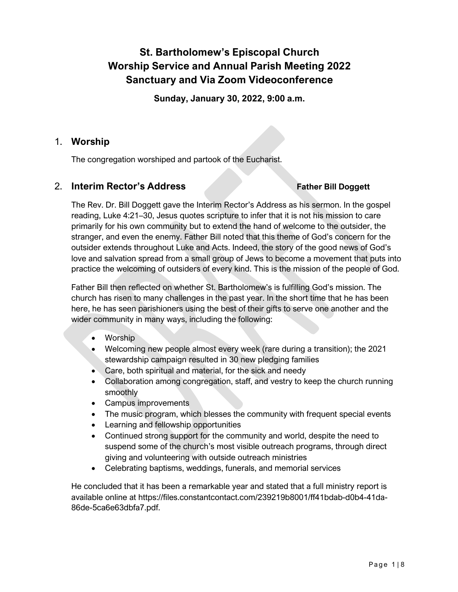# **St. Bartholomew's Episcopal Church Worship Service and Annual Parish Meeting 2022 Sanctuary and Via Zoom Videoconference**

**Sunday, January 30, 2022, 9:00 a.m.**

# 1. **Worship**

The congregation worshiped and partook of the Eucharist.

# 2. **Interim Rector's Address Father Bill Doggett**

The Rev. Dr. Bill Doggett gave the Interim Rector's Address as his sermon. In the gospel reading, Luke 4:21–30, Jesus quotes scripture to infer that it is not his mission to care primarily for his own community but to extend the hand of welcome to the outsider, the stranger, and even the enemy. Father Bill noted that this theme of God's concern for the outsider extends throughout Luke and Acts. Indeed, the story of the good news of God's love and salvation spread from a small group of Jews to become a movement that puts into practice the welcoming of outsiders of every kind. This is the mission of the people of God.

Father Bill then reflected on whether St. Bartholomew's is fulfilling God's mission. The church has risen to many challenges in the past year. In the short time that he has been here, he has seen parishioners using the best of their gifts to serve one another and the wider community in many ways, including the following:

- Worship
- Welcoming new people almost every week (rare during a transition); the 2021 stewardship campaign resulted in 30 new pledging families
- Care, both spiritual and material, for the sick and needy
- Collaboration among congregation, staff, and vestry to keep the church running smoothly
- Campus improvements
- The music program, which blesses the community with frequent special events
- Learning and fellowship opportunities
- Continued strong support for the community and world, despite the need to suspend some of the church's most visible outreach programs, through direct giving and volunteering with outside outreach ministries
- Celebrating baptisms, weddings, funerals, and memorial services

He concluded that it has been a remarkable year and stated that a full ministry report is available online at https://files.constantcontact.com/239219b8001/ff41bdab-d0b4-41da-86de-5ca6e63dbfa7.pdf.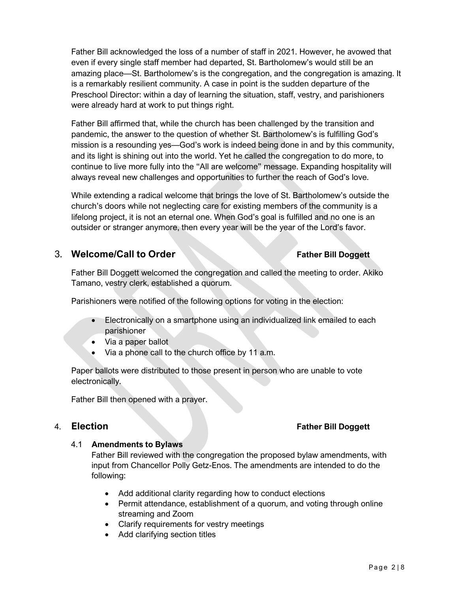Father Bill acknowledged the loss of a number of staff in 2021. However, he avowed that even if every single staff member had departed, St. Bartholomew's would still be an amazing place—St. Bartholomew's is the congregation, and the congregation is amazing. It is a remarkably resilient community. A case in point is the sudden departure of the Preschool Director: within a day of learning the situation, staff, vestry, and parishioners were already hard at work to put things right.

Father Bill affirmed that, while the church has been challenged by the transition and pandemic, the answer to the question of whether St. Bartholomew's is fulfilling God's mission is a resounding yes—God's work is indeed being done in and by this community, and its light is shining out into the world. Yet he called the congregation to do more, to continue to live more fully into the "All are welcome" message. Expanding hospitality will always reveal new challenges and opportunities to further the reach of God's love.

While extending a radical welcome that brings the love of St. Bartholomew's outside the church's doors while not neglecting care for existing members of the community is a lifelong project, it is not an eternal one. When God's goal is fulfilled and no one is an outsider or stranger anymore, then every year will be the year of the Lord's favor.

# 3. **Welcome/Call to Order Father Bill Doggett**

Father Bill Doggett welcomed the congregation and called the meeting to order. Akiko Tamano, vestry clerk, established a quorum.

Parishioners were notified of the following options for voting in the election:

- Electronically on a smartphone using an individualized link emailed to each parishioner
- Via a paper ballot
- Via a phone call to the church office by 11 a.m.

Paper ballots were distributed to those present in person who are unable to vote electronically.

Father Bill then opened with a prayer.

# 4. **Election Father Bill Doggett**

### 4.1 **Amendments to Bylaws**

Father Bill reviewed with the congregation the proposed bylaw amendments, with input from Chancellor Polly Getz-Enos. The amendments are intended to do the following:

- Add additional clarity regarding how to conduct elections
- Permit attendance, establishment of a quorum, and voting through online streaming and Zoom
- Clarify requirements for vestry meetings
- Add clarifying section titles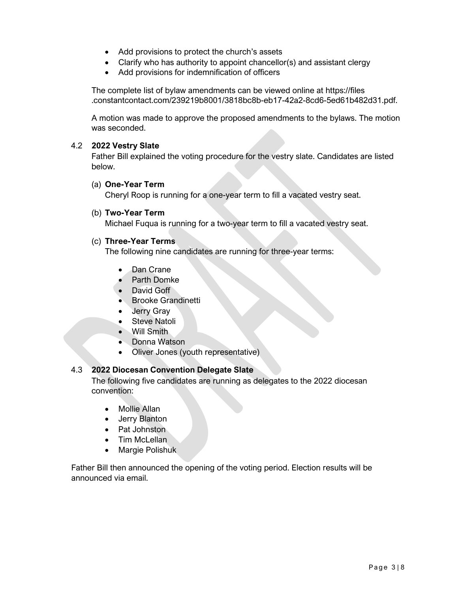- Add provisions to protect the church's assets
- Clarify who has authority to appoint chancellor(s) and assistant clergy
- Add provisions for indemnification of officers

The complete list of bylaw amendments can be viewed online at https://files .constantcontact.com/239219b8001/3818bc8b-eb17-42a2-8cd6-5ed61b482d31.pdf.

A motion was made to approve the proposed amendments to the bylaws. The motion was seconded.

#### 4.2 **2022 Vestry Slate**

Father Bill explained the voting procedure for the vestry slate. Candidates are listed below.

#### (a) **One-Year Term**

Cheryl Roop is running for a one-year term to fill a vacated vestry seat.

#### (b) **Two-Year Term**

Michael Fuqua is running for a two-year term to fill a vacated vestry seat.

#### (c) **Three-Year Terms**

The following nine candidates are running for three-year terms:

- Dan Crane
- Parth Domke
- David Goff
- Brooke Grandinetti
- Jerry Gray
- **Steve Natoli**
- Will Smith
- Donna Watson
- Oliver Jones (youth representative)

### 4.3 **2022 Diocesan Convention Delegate Slate**

The following five candidates are running as delegates to the 2022 diocesan convention:

- Mollie Allan
- Jerry Blanton
- Pat Johnston
- Tim McLellan
- Margie Polishuk

Father Bill then announced the opening of the voting period. Election results will be announced via email.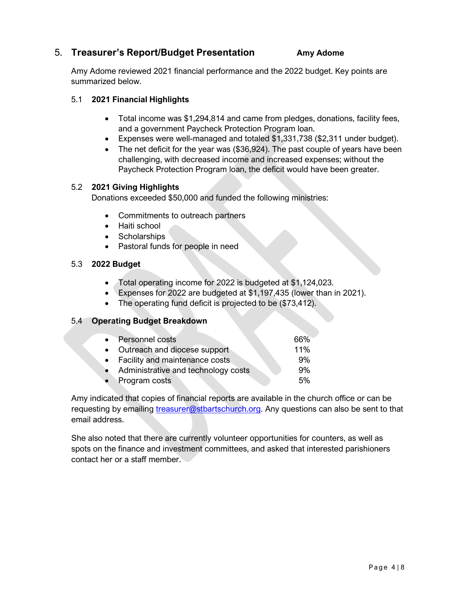# 5. **Treasurer's Report/Budget Presentation Amy Adome**

Amy Adome reviewed 2021 financial performance and the 2022 budget. Key points are summarized below.

## 5.1 **2021 Financial Highlights**

- Total income was \$1,294,814 and came from pledges, donations, facility fees, and a government Paycheck Protection Program loan.
- Expenses were well-managed and totaled \$1,331,738 (\$2,311 under budget).
- The net deficit for the year was (\$36,924). The past couple of years have been challenging, with decreased income and increased expenses; without the Paycheck Protection Program loan, the deficit would have been greater.

## 5.2 **2021 Giving Highlights**

Donations exceeded \$50,000 and funded the following ministries:

- Commitments to outreach partners
- Haiti school
- Scholarships
- Pastoral funds for people in need

# 5.3 **2022 Budget**

- Total operating income for 2022 is budgeted at \$1,124,023.
- Expenses for 2022 are budgeted at \$1,197,435 (lower than in 2021).
- The operating fund deficit is projected to be (\$73,412).

# 5.4 **Operating Budget Breakdown**

| • Personnel costs                     | 66% |
|---------------------------------------|-----|
| • Outreach and diocese support        | 11% |
| • Facility and maintenance costs      | 9%  |
| • Administrative and technology costs | 9%  |
| • Program costs                       | 5%  |

Amy indicated that copies of financial reports are available in the church office or can be requesting by emailing treasurer@stbartschurch.org. Any questions can also be sent to that email address.

She also noted that there are currently volunteer opportunities for counters, as well as spots on the finance and investment committees, and asked that interested parishioners contact her or a staff member.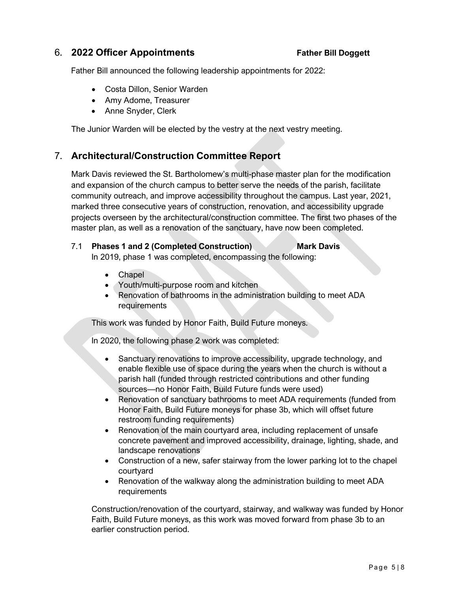# 6. **2022 Officer Appointments Father Bill Doggett**

Father Bill announced the following leadership appointments for 2022:

- Costa Dillon, Senior Warden
- Amy Adome, Treasurer
- Anne Snyder, Clerk

The Junior Warden will be elected by the vestry at the next vestry meeting.

# 7. **Architectural/Construction Committee Report**

Mark Davis reviewed the St. Bartholomew's multi-phase master plan for the modification and expansion of the church campus to better serve the needs of the parish, facilitate community outreach, and improve accessibility throughout the campus. Last year, 2021, marked three consecutive years of construction, renovation, and accessibility upgrade projects overseen by the architectural/construction committee. The first two phases of the master plan, as well as a renovation of the sanctuary, have now been completed.

### 7.1 **Phases 1 and 2 (Completed Construction) Mark Davis** In 2019, phase 1 was completed, encompassing the following:

- Chapel
- Youth/multi-purpose room and kitchen
- Renovation of bathrooms in the administration building to meet ADA **requirements**

This work was funded by Honor Faith, Build Future moneys.

In 2020, the following phase 2 work was completed:

- Sanctuary renovations to improve accessibility, upgrade technology, and enable flexible use of space during the years when the church is without a parish hall (funded through restricted contributions and other funding sources—no Honor Faith, Build Future funds were used)
- Renovation of sanctuary bathrooms to meet ADA requirements (funded from Honor Faith, Build Future moneys for phase 3b, which will offset future restroom funding requirements)
- Renovation of the main courtyard area, including replacement of unsafe concrete pavement and improved accessibility, drainage, lighting, shade, and landscape renovations
- Construction of a new, safer stairway from the lower parking lot to the chapel courtyard
- Renovation of the walkway along the administration building to meet ADA requirements

Construction/renovation of the courtyard, stairway, and walkway was funded by Honor Faith, Build Future moneys, as this work was moved forward from phase 3b to an earlier construction period.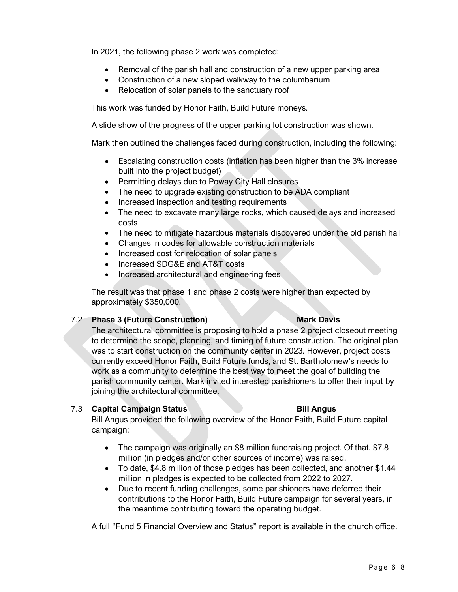In 2021, the following phase 2 work was completed:

- Removal of the parish hall and construction of a new upper parking area
- Construction of a new sloped walkway to the columbarium
- Relocation of solar panels to the sanctuary roof

This work was funded by Honor Faith, Build Future moneys.

A slide show of the progress of the upper parking lot construction was shown.

Mark then outlined the challenges faced during construction, including the following:

- Escalating construction costs (inflation has been higher than the 3% increase built into the project budget)
- Permitting delays due to Poway City Hall closures
- The need to upgrade existing construction to be ADA compliant
- Increased inspection and testing requirements
- The need to excavate many large rocks, which caused delays and increased costs
- The need to mitigate hazardous materials discovered under the old parish hall
- Changes in codes for allowable construction materials
- Increased cost for relocation of solar panels
- Increased SDG&E and AT&T costs
- Increased architectural and engineering fees

The result was that phase 1 and phase 2 costs were higher than expected by approximately \$350,000.

### 7.2 **Phase 3 (Future Construction) Mark Davis**

## The architectural committee is proposing to hold a phase 2 project closeout meeting to determine the scope, planning, and timing of future construction. The original plan was to start construction on the community center in 2023. However, project costs currently exceed Honor Faith, Build Future funds, and St. Bartholomew's needs to work as a community to determine the best way to meet the goal of building the parish community center. Mark invited interested parishioners to offer their input by joining the architectural committee.

### 7.3 **Capital Campaign Status Bill Angus**

Bill Angus provided the following overview of the Honor Faith, Build Future capital campaign:

- The campaign was originally an \$8 million fundraising project. Of that, \$7.8 million (in pledges and/or other sources of income) was raised.
- To date, \$4.8 million of those pledges has been collected, and another \$1.44 million in pledges is expected to be collected from 2022 to 2027.
- Due to recent funding challenges, some parishioners have deferred their contributions to the Honor Faith, Build Future campaign for several years, in the meantime contributing toward the operating budget.

A full "Fund 5 Financial Overview and Status" report is available in the church office.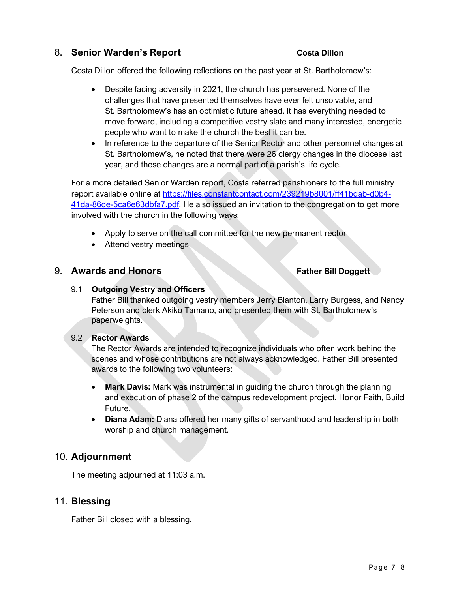# 8. **Senior Warden's Report Costa Dillon**

Costa Dillon offered the following reflections on the past year at St. Bartholomew's:

- Despite facing adversity in 2021, the church has persevered. None of the challenges that have presented themselves have ever felt unsolvable, and St. Bartholomew's has an optimistic future ahead. It has everything needed to move forward, including a competitive vestry slate and many interested, energetic people who want to make the church the best it can be.
- In reference to the departure of the Senior Rector and other personnel changes at St. Bartholomew's, he noted that there were 26 clergy changes in the diocese last year, and these changes are a normal part of a parish's life cycle.

For a more detailed Senior Warden report, Costa referred parishioners to the full ministry report available online at https://files.constantcontact.com/239219b8001/ff41bdab-d0b4- 41da-86de-5ca6e63dbfa7.pdf. He also issued an invitation to the congregation to get more involved with the church in the following ways:

- Apply to serve on the call committee for the new permanent rector
- Attend vestry meetings

# 9. **Awards and Honors Father Bill Doggett**

### 9.1 **Outgoing Vestry and Officers**

Father Bill thanked outgoing vestry members Jerry Blanton, Larry Burgess, and Nancy Peterson and clerk Akiko Tamano, and presented them with St. Bartholomew's paperweights.

### 9.2 **Rector Awards**

The Rector Awards are intended to recognize individuals who often work behind the scenes and whose contributions are not always acknowledged. Father Bill presented awards to the following two volunteers:

- **Mark Davis:** Mark was instrumental in guiding the church through the planning and execution of phase 2 of the campus redevelopment project, Honor Faith, Build Future.
- **Diana Adam:** Diana offered her many gifts of servanthood and leadership in both worship and church management.

# 10. **Adjournment**

The meeting adjourned at 11:03 a.m.

# 11. **Blessing**

Father Bill closed with a blessing.